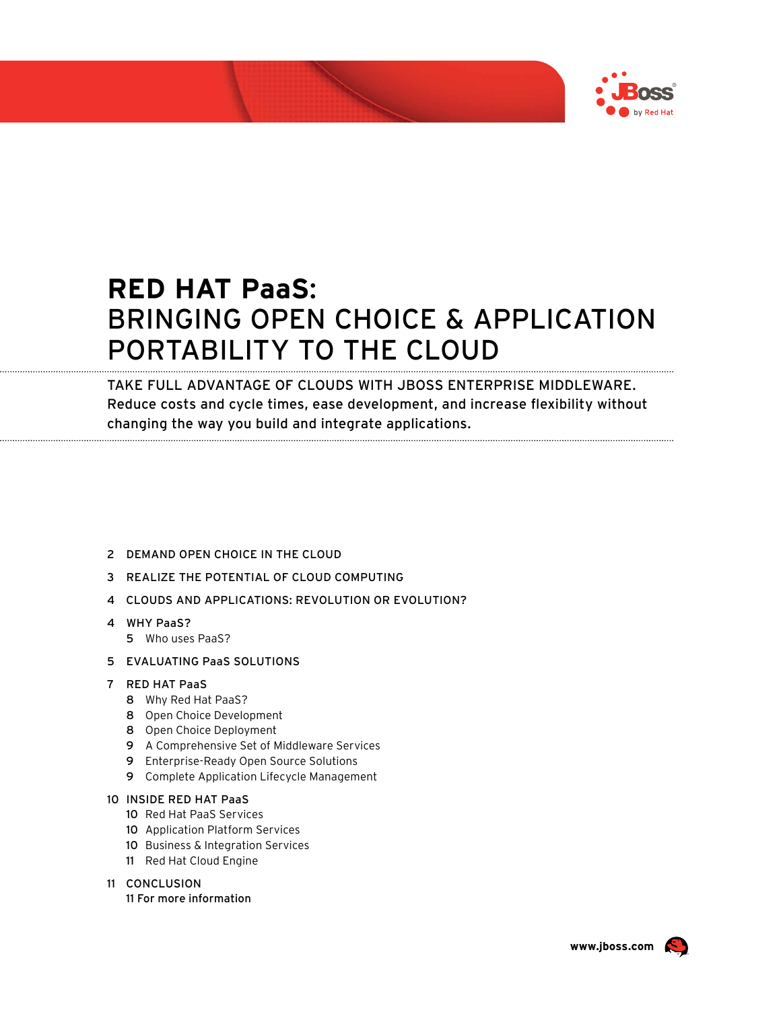

# **RED HAT PaaS**: BRINGING OPEN CHOICE & APPLICATION PORTABILITY TO THE CLOUD

TAKE FULL ADVANTAGE OF CLOUDS WITH JBOSS ENTERPRISE MIDDLEWARE. Reduce costs and cycle times, ease development, and increase flexibility without changing the way you build and integrate applications.

- 2 DEMAND OPEN CHOICE IN THE CLOUD
- 3 REALIZE THE POTENTIAL OF CLOUD COMPUTING
- 4 CLOUDS AND APPLICATIONS: REVOLUTION OR EVOLUTION?
- 4 WHY PaaS?
	- 5 Who uses PaaS?
- 5 EVALUATING PaaS SOLUTIONS

#### 7 RED HAT PaaS

- 8 Why Red Hat PaaS?
- 8 Open Choice Development
- 8 Open Choice Deployment
- 9 A Comprehensive Set of Middleware Services
- 9 Enterprise-Ready Open Source Solutions
- 9 Complete Application Lifecycle Management

#### 10 INSIDE RED HAT PaaS

- 10 Red Hat PaaS Services
- 10 Application Platform Services
- 10 Business & Integration Services
- 11 Red Hat Cloud Engine

#### 11 CONCLUSION

11 For more information



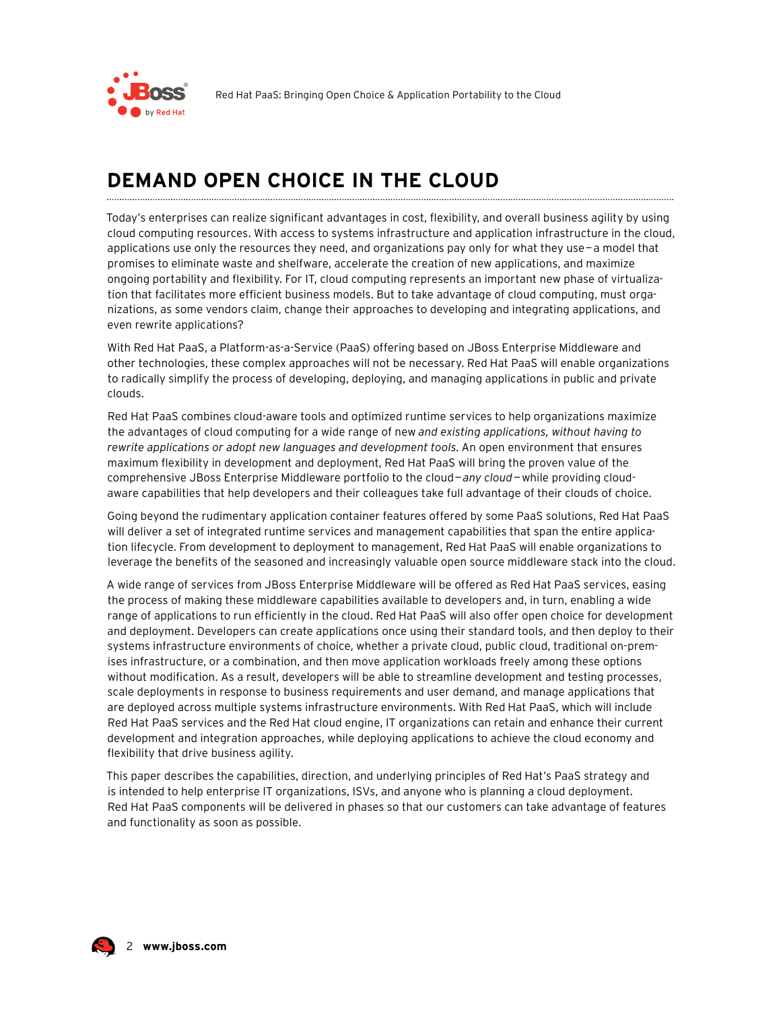

### DEMAND OPEN CHOICE IN THE CLOUD

Today's enterprises can realize significant advantages in cost, flexibility, and overall business agility by using cloud computing resources. With access to systems infrastructure and application infrastructure in the cloud, applications use only the resources they need, and organizations pay only for what they use  $-a$  model that promises to eliminate waste and shelfware, accelerate the creation of new applications, and maximize ongoing portability and flexibility. For IT, cloud computing represents an important new phase of virtualization that facilitates more efficient business models. But to take advantage of cloud computing, must organizations, as some vendors claim, change their approaches to developing and integrating applications, and even rewrite applications?

With Red Hat PaaS, a Platform-as-a-Service (PaaS) offering based on JBoss Enterprise Middleware and other technologies, these complex approaches will not be necessary. Red Hat PaaS will enable organizations to radically simplify the process of developing, deploying, and managing applications in public and private clouds.

Red Hat PaaS combines cloud-aware tools and optimized runtime services to help organizations maximize the advantages of cloud computing for a wide range of new and existing applications, without having to rewrite applications or adopt new languages and development tools. An open environment that ensures maximum flexibility in development and deployment, Red Hat PaaS will bring the proven value of the comprehensive JBoss Enterprise Middleware portfolio to the cloud-any cloud-while providing cloudaware capabilities that help developers and their colleagues take full advantage of their clouds of choice.

Going beyond the rudimentary application container features offered by some PaaS solutions, Red Hat PaaS will deliver a set of integrated runtime services and management capabilities that span the entire application lifecycle. From development to deployment to management, Red Hat PaaS will enable organizations to leverage the benefits of the seasoned and increasingly valuable open source middleware stack into the cloud.

A wide range of services from JBoss Enterprise Middleware will be offered as Red Hat PaaS services, easing the process of making these middleware capabilities available to developers and, in turn, enabling a wide range of applications to run efficiently in the cloud. Red Hat PaaS will also offer open choice for development and deployment. Developers can create applications once using their standard tools, and then deploy to their systems infrastructure environments of choice, whether a private cloud, public cloud, traditional on-premises infrastructure, or a combination, and then move application workloads freely among these options without modification. As a result, developers will be able to streamline development and testing processes, scale deployments in response to business requirements and user demand, and manage applications that are deployed across multiple systems infrastructure environments. With Red Hat PaaS, which will include Red Hat PaaS services and the Red Hat cloud engine, IT organizations can retain and enhance their current development and integration approaches, while deploying applications to achieve the cloud economy and flexibility that drive business agility.

This paper describes the capabilities, direction, and underlying principles of Red Hat's PaaS strategy and is intended to help enterprise IT organizations, ISVs, and anyone who is planning a cloud deployment. Red Hat PaaS components will be delivered in phases so that our customers can take advantage of features and functionality as soon as possible.

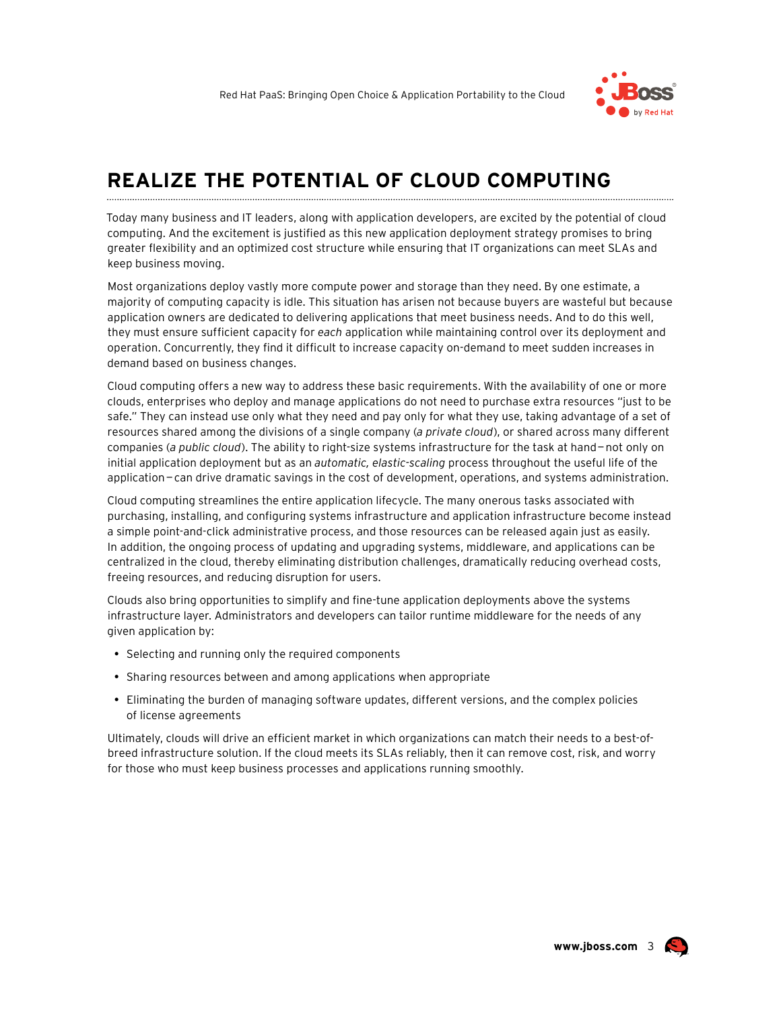

### REALIZE THE POTENTIAL OF CLOUD COMPUTING

Today many business and IT leaders, along with application developers, are excited by the potential of cloud computing. And the excitement is justified as this new application deployment strategy promises to bring greater flexibility and an optimized cost structure while ensuring that IT organizations can meet SLAs and keep business moving.

Most organizations deploy vastly more compute power and storage than they need. By one estimate, a majority of computing capacity is idle. This situation has arisen not because buyers are wasteful but because application owners are dedicated to delivering applications that meet business needs. And to do this well, they must ensure sufficient capacity for each application while maintaining control over its deployment and operation. Concurrently, they find it difficult to increase capacity on-demand to meet sudden increases in demand based on business changes.

Cloud computing offers a new way to address these basic requirements. With the availability of one or more clouds, enterprises who deploy and manage applications do not need to purchase extra resources "just to be safe." They can instead use only what they need and pay only for what they use, taking advantage of a set of resources shared among the divisions of a single company (a private cloud), or shared across many different companies (a public cloud). The ability to right-size systems infrastructure for the task at hand-not only on initial application deployment but as an automatic, elastic-scaling process throughout the useful life of the application-can drive dramatic savings in the cost of development, operations, and systems administration.

Cloud computing streamlines the entire application lifecycle. The many onerous tasks associated with purchasing, installing, and configuring systems infrastructure and application infrastructure become instead a simple point-and-click administrative process, and those resources can be released again just as easily. In addition, the ongoing process of updating and upgrading systems, middleware, and applications can be centralized in the cloud, thereby eliminating distribution challenges, dramatically reducing overhead costs, freeing resources, and reducing disruption for users.

Clouds also bring opportunities to simplify and fine-tune application deployments above the systems infrastructure layer. Administrators and developers can tailor runtime middleware for the needs of any given application by:

• Selecting and running only the required components

- Sharing resources between and among applications when appropriate
- Eliminating the burden of managing software updates, different versions, and the complex policies of license agreements

Ultimately, clouds will drive an efficient market in which organizations can match their needs to a best-ofbreed infrastructure solution. If the cloud meets its SLAs reliably, then it can remove cost, risk, and worry for those who must keep business processes and applications running smoothly.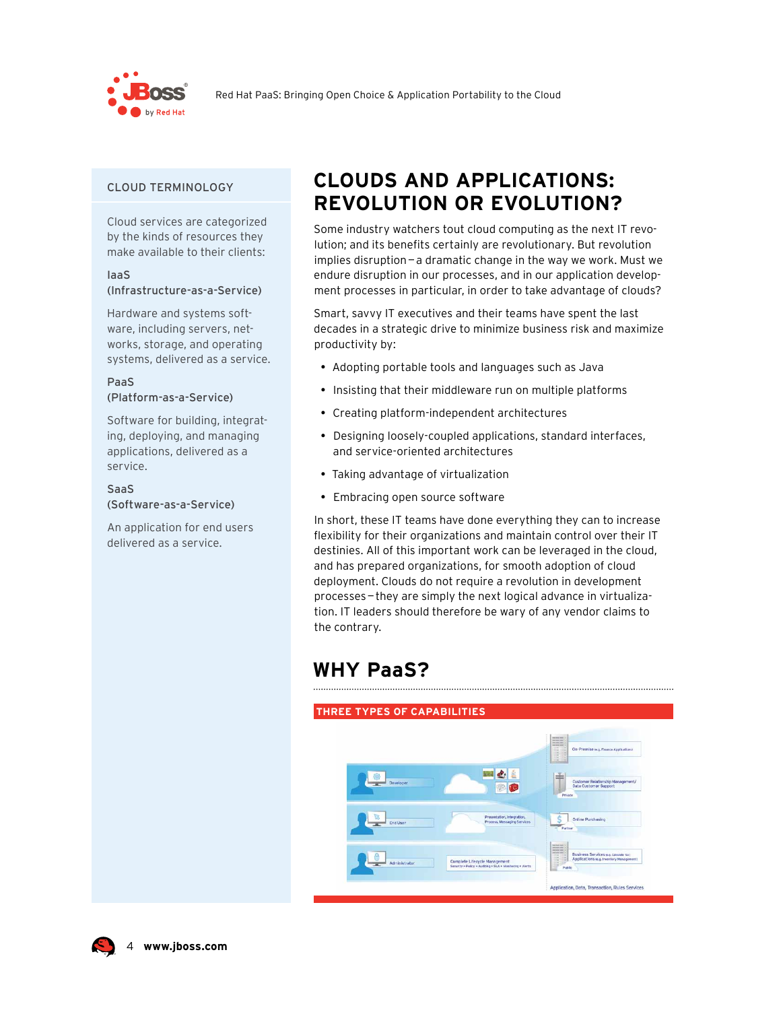

#### **CLOUD TERMINOLOGY**

Cloud services are categorized by the kinds of resources they make available to their clients:

#### laaS (Infrastructure-as-a-Service)

Hardware and systems software, including servers, networks, storage, and operating systems, delivered as a service.

#### PaaS (Platform-as-a-Service)

Software for building, integrating, deploying, and managing applications, delivered as a service.

#### **SaaS** (Software-as-a-Service)

An application for end users delivered as a service.

### **CLOUDS AND APPLICATIONS: REVOLUTION OR EVOLUTION?**

Some industry watchers tout cloud computing as the next IT revolution; and its benefits certainly are revolutionary. But revolution implies disruption-a dramatic change in the way we work. Must we endure disruption in our processes, and in our application development processes in particular, in order to take advantage of clouds?

Smart, savvy IT executives and their teams have spent the last decades in a strategic drive to minimize business risk and maximize productivity by:

- Adopting portable tools and languages such as Java
- Insisting that their middleware run on multiple platforms
- Creating platform-independent architectures
- Designing loosely-coupled applications, standard interfaces, and service-oriented architectures
- Taking advantage of virtualization
- Embracing open source software

In short, these IT teams have done everything they can to increase flexibility for their organizations and maintain control over their IT destinies. All of this important work can be leveraged in the cloud, and has prepared organizations, for smooth adoption of cloud deployment. Clouds do not require a revolution in development processes-they are simply the next logical advance in virtualization. IT leaders should therefore be wary of any vendor claims to the contrarv.

### **WHY PaaS?**



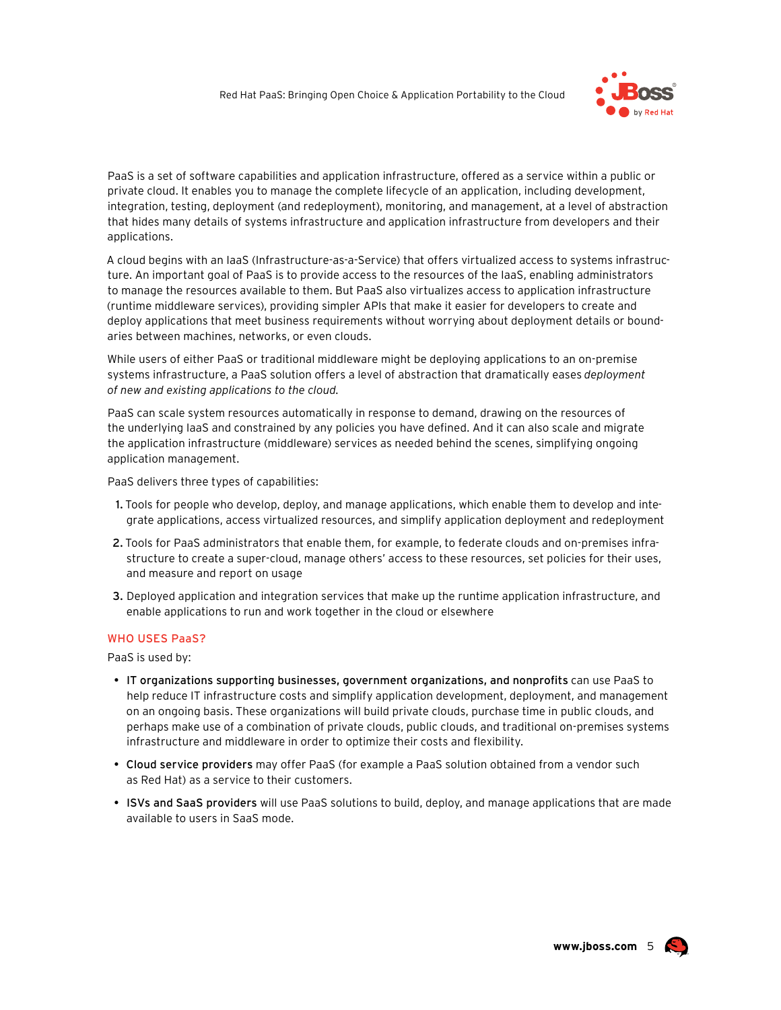

PaaS is a set of software capabilities and application infrastructure, offered as a service within a public or private cloud. It enables you to manage the complete lifecycle of an application, including development, integration, testing, deployment (and redeployment), monitoring, and management, at a level of abstraction that hides many details of systems infrastructure and application infrastructure from developers and their applications.

A cloud begins with an laaS (Infrastructure-as-a-Service) that offers virtualized access to systems infrastructure. An important goal of PaaS is to provide access to the resources of the laaS, enabling administrators to manage the resources available to them. But PaaS also virtualizes access to application infrastructure (runtime middleware services), providing simpler APIs that make it easier for developers to create and deploy applications that meet business requirements without worrying about deployment details or boundaries between machines, networks, or even clouds.

While users of either PaaS or traditional middleware might be deploying applications to an on-premise systems infrastructure, a PaaS solution offers a level of abstraction that dramatically eases deployment of new and existing applications to the cloud.

PaaS can scale system resources automatically in response to demand, drawing on the resources of the underlying laaS and constrained by any policies you have defined. And it can also scale and migrate the application infrastructure (middleware) services as needed behind the scenes, simplifying ongoing application management.

PaaS delivers three types of capabilities:

- 1. Tools for people who develop, deploy, and manage applications, which enable them to develop and integrate applications, access virtualized resources, and simplify application deployment and redeployment
- 2. Tools for PaaS administrators that enable them, for example, to federate clouds and on-premises infrastructure to create a super-cloud, manage others' access to these resources, set policies for their uses, and measure and report on usage
- 3. Deployed application and integration services that make up the runtime application infrastructure, and enable applications to run and work together in the cloud or elsewhere

#### **WHO USES PaaS?**

PaaS is used by:

- . IT organizations supporting businesses, government organizations, and nonprofits can use PaaS to help reduce IT infrastructure costs and simplify application development, deployment, and management on an ongoing basis. These organizations will build private clouds, purchase time in public clouds, and perhaps make use of a combination of private clouds, public clouds, and traditional on-premises systems infrastructure and middleware in order to optimize their costs and flexibility.
- . Cloud service providers may offer PaaS (for example a PaaS solution obtained from a vendor such as Red Hat) as a service to their customers.
- ISVs and SaaS providers will use PaaS solutions to build, deploy, and manage applications that are made available to users in SaaS mode.

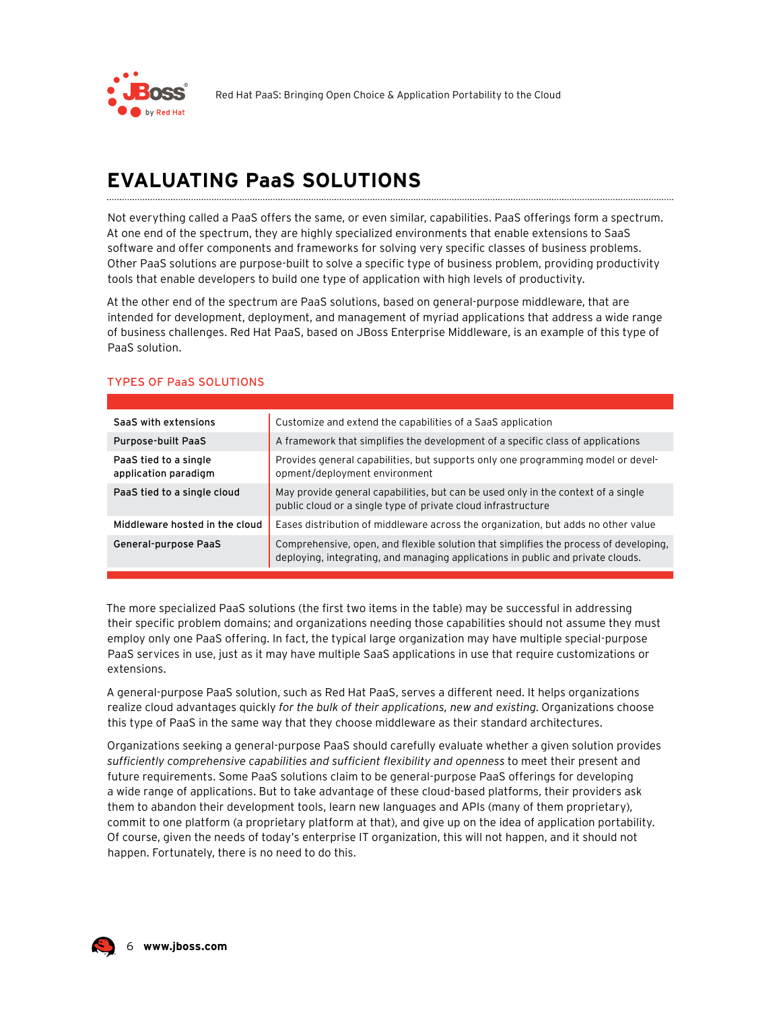

## **EVALUATING PaaS SOLUTIONS**

Not everything called a PaaS offers the same, or even similar, capabilities. PaaS offerings form a spectrum. At one end of the spectrum, they are highly specialized environments that enable extensions to SaaS software and offer components and frameworks for solving very specific classes of business problems. Other PaaS solutions are purpose-built to solve a specific type of business problem, providing productivity tools that enable developers to build one type of application with high levels of productivity.

At the other end of the spectrum are PaaS solutions, based on general-purpose middleware, that are intended for development, deployment, and management of myriad applications that address a wide range of business challenges. Red Hat PaaS, based on JBoss Enterprise Middleware, is an example of this type of PaaS solution.

| SaaS with extensions                          | Customize and extend the capabilities of a SaaS application                                                                                                              |
|-----------------------------------------------|--------------------------------------------------------------------------------------------------------------------------------------------------------------------------|
| Purpose-built PaaS                            | A framework that simplifies the development of a specific class of applications                                                                                          |
| PaaS tied to a single<br>application paradigm | Provides general capabilities, but supports only one programming model or devel-<br>opment/deployment environment                                                        |
| PaaS tied to a single cloud                   | May provide general capabilities, but can be used only in the context of a single<br>public cloud or a single type of private cloud infrastructure                       |
| Middleware hosted in the cloud                | Eases distribution of middleware across the organization, but adds no other value                                                                                        |
| General-purpose PaaS                          | Comprehensive, open, and flexible solution that simplifies the process of developing,<br>deploying, integrating, and managing applications in public and private clouds. |

#### **TYPES OF PaaS SOLUTIONS**

The more specialized PaaS solutions (the first two items in the table) may be successful in addressing their specific problem domains; and organizations needing those capabilities should not assume they must employ only one PaaS offering. In fact, the typical large organization may have multiple special-purpose PaaS services in use, just as it may have multiple SaaS applications in use that require customizations or extensions.

A general-purpose PaaS solution, such as Red Hat PaaS, serves a different need. It helps organizations realize cloud advantages quickly for the bulk of their applications, new and existing. Organizations choose this type of PaaS in the same way that they choose middleware as their standard architectures.

Organizations seeking a general-purpose PaaS should carefully evaluate whether a given solution provides sufficiently comprehensive capabilities and sufficient flexibility and openness to meet their present and future requirements. Some PaaS solutions claim to be general-purpose PaaS offerings for developing a wide range of applications. But to take advantage of these cloud-based platforms, their providers ask them to abandon their development tools, learn new languages and APIs (many of them proprietary), commit to one platform (a proprietary platform at that), and give up on the idea of application portability. Of course, given the needs of today's enterprise IT organization, this will not happen, and it should not happen. Fortunately, there is no need to do this.

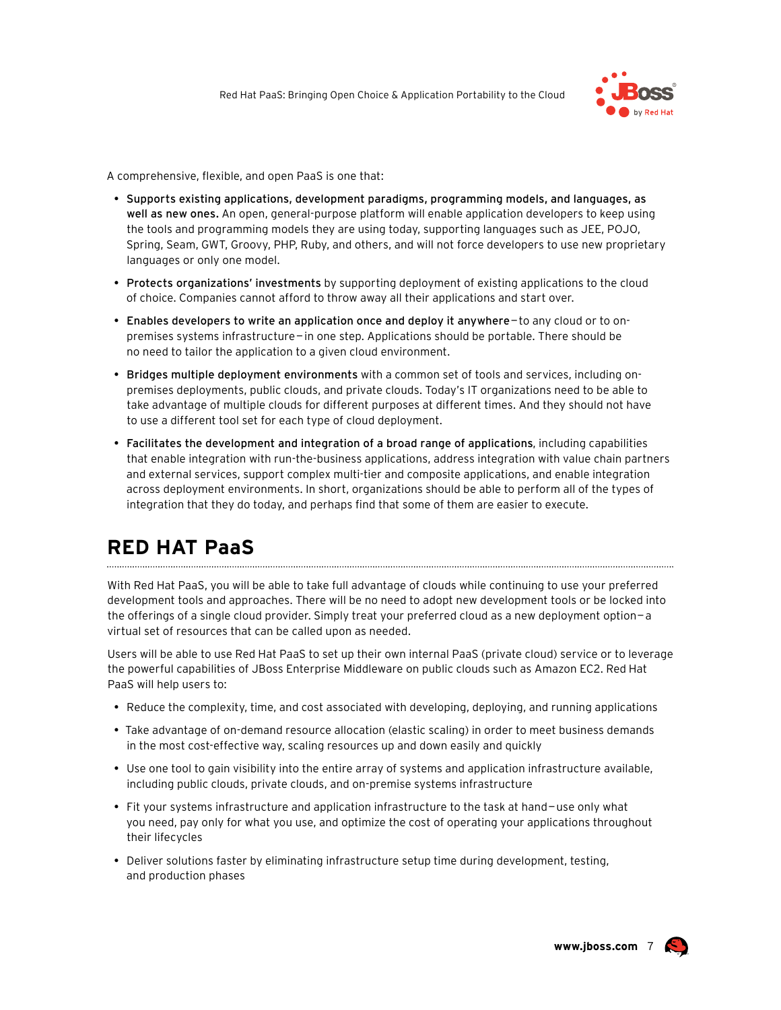

A comprehensive, flexible, and open PaaS is one that:

- Supports existing applications, development paradigms, programming models, and languages, as well as new ones. An open, general-purpose platform will enable application developers to keep using the tools and programming models they are using today, supporting languages such as JEE, POJO, Spring, Seam, GWT, Groovy, PHP, Ruby, and others, and will not force developers to use new proprietary languages or only one model.
- Protects organizations' investments by supporting deployment of existing applications to the cloud of choice. Companies cannot afford to throw away all their applications and start over.
- Enables developers to write an application once and deploy it anywhere-to any cloud or to onpremises systems infrastructure - in one step. Applications should be portable. There should be no need to tailor the application to a given cloud environment.
- Bridges multiple deployment environments with a common set of tools and services, including onpremises deployments, public clouds, and private clouds. Today's IT organizations need to be able to take advantage of multiple clouds for different purposes at different times. And they should not have to use a different tool set for each type of cloud deployment.
- Facilitates the development and integration of a broad range of applications, including capabilities that enable integration with run-the-business applications, address integration with value chain partners and external services, support complex multi-tier and composite applications, and enable integration across deployment environments. In short, organizations should be able to perform all of the types of integration that they do today, and perhaps find that some of them are easier to execute.

### **RED HAT PaaS**

With Red Hat PaaS, you will be able to take full advantage of clouds while continuing to use your preferred development tools and approaches. There will be no need to adopt new development tools or be locked into the offerings of a single cloud provider. Simply treat your preferred cloud as a new deployment option-a virtual set of resources that can be called upon as needed.

Users will be able to use Red Hat PaaS to set up their own internal PaaS (private cloud) service or to leverage the powerful capabilities of JBoss Enterprise Middleware on public clouds such as Amazon EC2. Red Hat PaaS will help users to:

- Reduce the complexity, time, and cost associated with developing, deploying, and running applications
- Take advantage of on-demand resource allocation (elastic scaling) in order to meet business demands in the most cost-effective way, scaling resources up and down easily and quickly
- Use one tool to gain visibility into the entire array of systems and application infrastructure available, including public clouds, private clouds, and on-premise systems infrastructure
- Fit your systems infrastructure and application infrastructure to the task at hand-use only what you need, pay only for what you use, and optimize the cost of operating your applications throughout their lifecycles
- Deliver solutions faster by eliminating infrastructure setup time during development, testing, and production phases



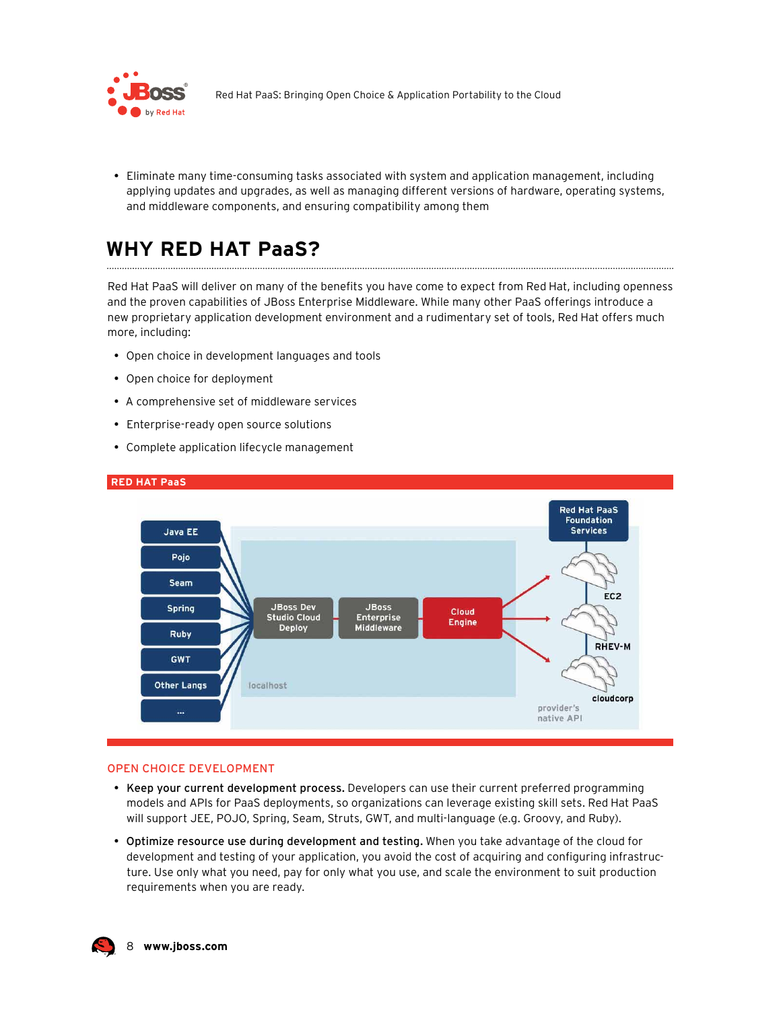

• Eliminate many time-consuming tasks associated with system and application management, including applying updates and upgrades, as well as managing different versions of hardware, operating systems, and middleware components, and ensuring compatibility among them

### **WHY RED HAT PaaS?**

Red Hat PaaS will deliver on many of the benefits you have come to expect from Red Hat, including openness and the proven capabilities of JBoss Enterprise Middleware. While many other PaaS offerings introduce a new proprietary application development environment and a rudimentary set of tools, Red Hat offers much more, including:

- Open choice in development languages and tools
- Open choice for deployment
- A comprehensive set of middleware services
- Enterprise-ready open source solutions
- Complete application lifecycle management



#### **RED HAT PaaS**

#### **OPEN CHOICE DEVELOPMENT**

- Keep your current development process. Developers can use their current preferred programming models and APIs for PaaS deployments, so organizations can leverage existing skill sets. Red Hat PaaS will support JEE, POJO, Spring, Seam, Struts, GWT, and multi-language (e.g. Groovy, and Ruby).
- . Optimize resource use during development and testing. When you take advantage of the cloud for development and testing of your application, you avoid the cost of acquiring and configuring infrastructure. Use only what you need, pay for only what you use, and scale the environment to suit production requirements when you are ready.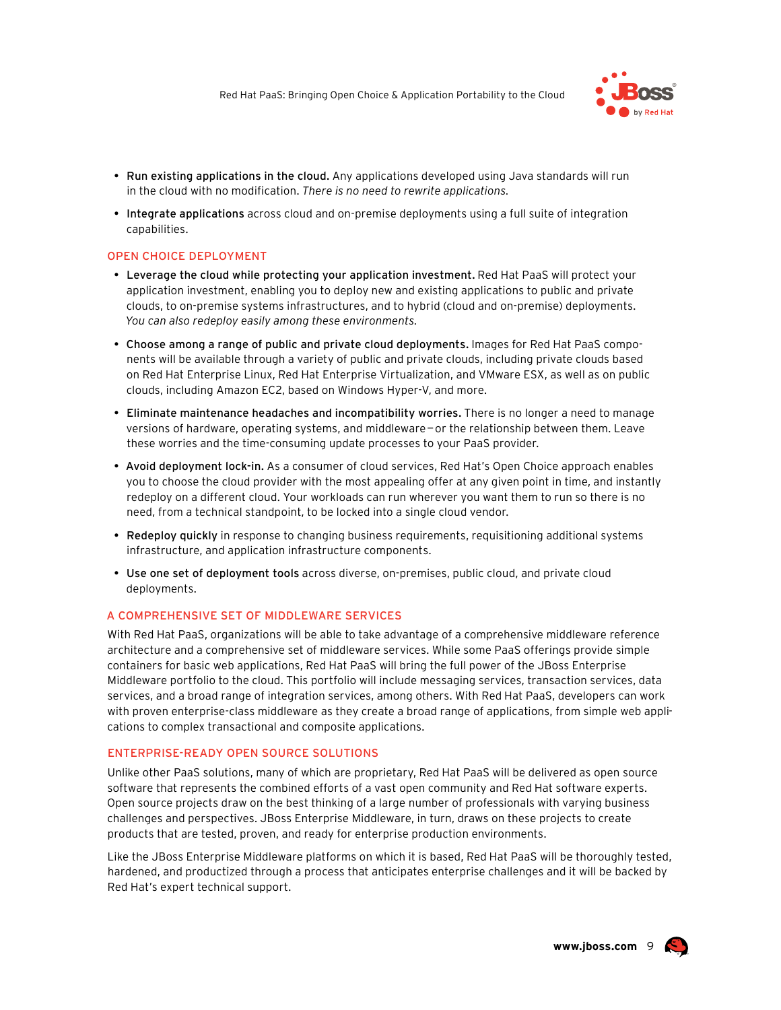

- . Run existing applications in the cloud. Any applications developed using Java standards will run in the cloud with no modification. There is no need to rewrite applications.
- Integrate applications across cloud and on-premise deployments using a full suite of integration capabilities.

#### **OPEN CHOICE DEPLOYMENT**

- Leverage the cloud while protecting your application investment. Red Hat PaaS will protect your application investment, enabling you to deploy new and existing applications to public and private clouds, to on-premise systems infrastructures, and to hybrid (cloud and on-premise) deployments. You can also redeploy easily among these environments.
- . Choose among a range of public and private cloud deployments. Images for Red Hat PaaS components will be available through a variety of public and private clouds, including private clouds based on Red Hat Enterprise Linux, Red Hat Enterprise Virtualization, and VMware ESX, as well as on public clouds, including Amazon EC2, based on Windows Hyper-V, and more.
- Eliminate maintenance headaches and incompatibility worries. There is no longer a need to manage versions of hardware, operating systems, and middleware-or the relationship between them. Leave these worries and the time-consuming update processes to your PaaS provider.
- Avoid deployment lock-in. As a consumer of cloud services, Red Hat's Open Choice approach enables you to choose the cloud provider with the most appealing offer at any given point in time, and instantly redeploy on a different cloud. Your workloads can run wherever you want them to run so there is no need, from a technical standpoint, to be locked into a single cloud vendor.
- Redeploy quickly in response to changing business requirements, requisitioning additional systems infrastructure, and application infrastructure components.
- Use one set of deployment tools across diverse, on-premises, public cloud, and private cloud deployments.

#### A COMPREHENSIVE SET OF MIDDLEWARE SERVICES

With Red Hat PaaS, organizations will be able to take advantage of a comprehensive middleware reference architecture and a comprehensive set of middleware services. While some PaaS offerings provide simple containers for basic web applications, Red Hat PaaS will bring the full power of the JBoss Enterprise Middleware portfolio to the cloud. This portfolio will include messaging services, transaction services, data services, and a broad range of integration services, among others. With Red Hat PaaS, developers can work with proven enterprise-class middleware as they create a broad range of applications, from simple web applications to complex transactional and composite applications.

#### **ENTERPRISE-READY OPEN SOURCE SOLUTIONS**

Unlike other PaaS solutions, many of which are proprietary, Red Hat PaaS will be delivered as open source software that represents the combined efforts of a vast open community and Red Hat software experts. Open source projects draw on the best thinking of a large number of professionals with varying business challenges and perspectives. JBoss Enterprise Middleware, in turn, draws on these projects to create products that are tested, proven, and ready for enterprise production environments.

Like the JBoss Enterprise Middleware platforms on which it is based, Red Hat PaaS will be thoroughly tested, hardened, and productized through a process that anticipates enterprise challenges and it will be backed by Red Hat's expert technical support.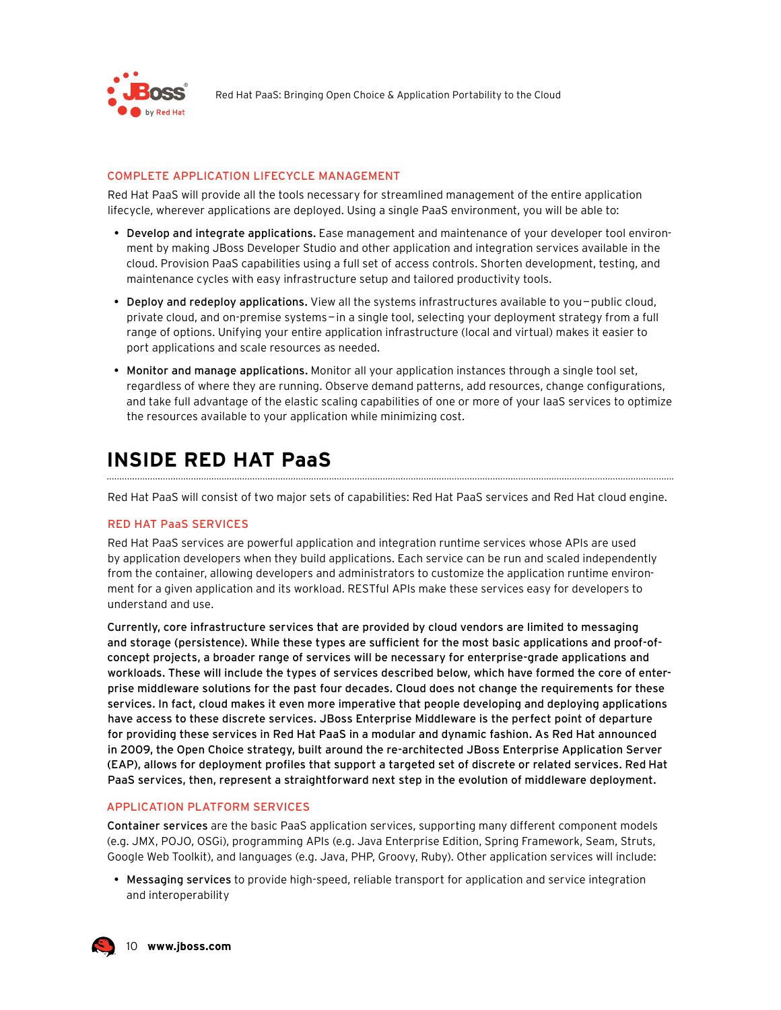

#### **COMPLETE APPLICATION LIFECYCLE MANAGEMENT**

Red Hat PaaS will provide all the tools necessary for streamlined management of the entire application lifecycle, wherever applications are deployed. Using a single PaaS environment, you will be able to:

- Develop and integrate applications. Ease management and maintenance of your developer tool environment by making JBoss Developer Studio and other application and integration services available in the cloud. Provision PaaS capabilities using a full set of access controls. Shorten development, testing, and maintenance cycles with easy infrastructure setup and tailored productivity tools.
- . Deploy and redeploy applications. View all the systems infrastructures available to you-public cloud, private cloud, and on-premise systems-in a single tool, selecting your deployment strategy from a full range of options. Unifying your entire application infrastructure (local and virtual) makes it easier to port applications and scale resources as needed.
- . Monitor and manage applications. Monitor all your application instances through a single tool set, regardless of where they are running. Observe demand patterns, add resources, change configurations, and take full advantage of the elastic scaling capabilities of one or more of your laaS services to optimize the resources available to your application while minimizing cost.

### **INSIDE RED HAT PaaS**

Red Hat PaaS will consist of two major sets of capabilities: Red Hat PaaS services and Red Hat cloud engine.

#### **RED HAT PaaS SERVICES**

Red Hat PaaS services are powerful application and integration runtime services whose APIs are used by application developers when they build applications. Each service can be run and scaled independently from the container, allowing developers and administrators to customize the application runtime environment for a given application and its workload. RESTful APIs make these services easy for developers to understand and use.

Currently, core infrastructure services that are provided by cloud vendors are limited to messaging and storage (persistence). While these types are sufficient for the most basic applications and proof-ofconcept projects, a broader range of services will be necessary for enterprise-grade applications and workloads. These will include the types of services described below, which have formed the core of enterprise middleware solutions for the past four decades. Cloud does not change the requirements for these services. In fact, cloud makes it even more imperative that people developing and deploying applications have access to these discrete services. JBoss Enterprise Middleware is the perfect point of departure for providing these services in Red Hat PaaS in a modular and dynamic fashion. As Red Hat announced in 2009, the Open Choice strategy, built around the re-architected JBoss Enterprise Application Server (EAP), allows for deployment profiles that support a targeted set of discrete or related services. Red Hat PaaS services, then, represent a straightforward next step in the evolution of middleware deployment.

#### **APPLICATION PLATFORM SERVICES**

Container services are the basic PaaS application services, supporting many different component models (e.g. JMX, POJO, OSGi), programming APIs (e.g. Java Enterprise Edition, Spring Framework, Seam, Struts, Google Web Toolkit), and languages (e.g. Java, PHP, Groovy, Ruby). Other application services will include:

• Messaging services to provide high-speed, reliable transport for application and service integration and interoperability

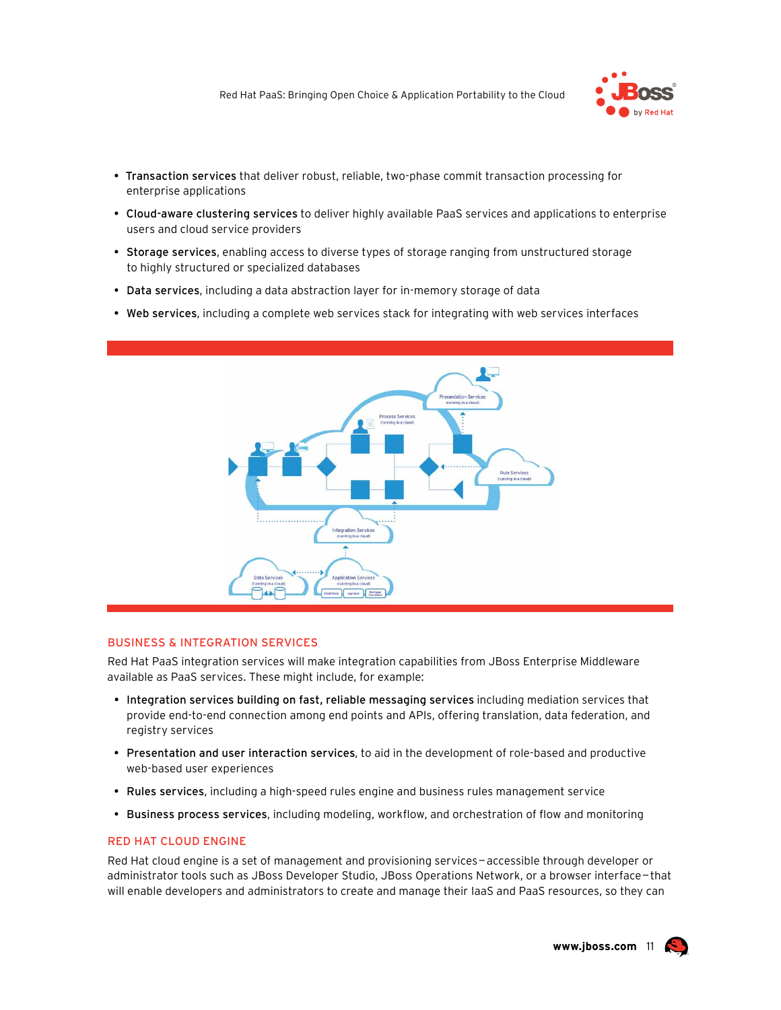

- Transaction services that deliver robust, reliable, two-phase commit transaction processing for enterprise applications
- Cloud-aware clustering services to deliver highly available PaaS services and applications to enterprise users and cloud service providers
- Storage services, enabling access to diverse types of storage ranging from unstructured storage to highly structured or specialized databases
- Data services, including a data abstraction layer for in-memory storage of data
- . Web services, including a complete web services stack for integrating with web services interfaces



#### **BUSINESS & INTEGRATION SERVICES**

Red Hat PaaS integration services will make integration capabilities from JBoss Enterprise Middleware available as PaaS services. These might include, for example:

- Integration services building on fast, reliable messaging services including mediation services that provide end-to-end connection among end points and APIs, offering translation, data federation, and registry services
- Presentation and user interaction services, to aid in the development of role-based and productive web-based user experiences
- Rules services, including a high-speed rules engine and business rules management service
- Business process services, including modeling, workflow, and orchestration of flow and monitoring

#### **RED HAT CLOUD ENGINE**

Red Hat cloud engine is a set of management and provisioning services-accessible through developer or administrator tools such as JBoss Developer Studio, JBoss Operations Network, or a browser interface-that will enable developers and administrators to create and manage their laaS and PaaS resources, so they can